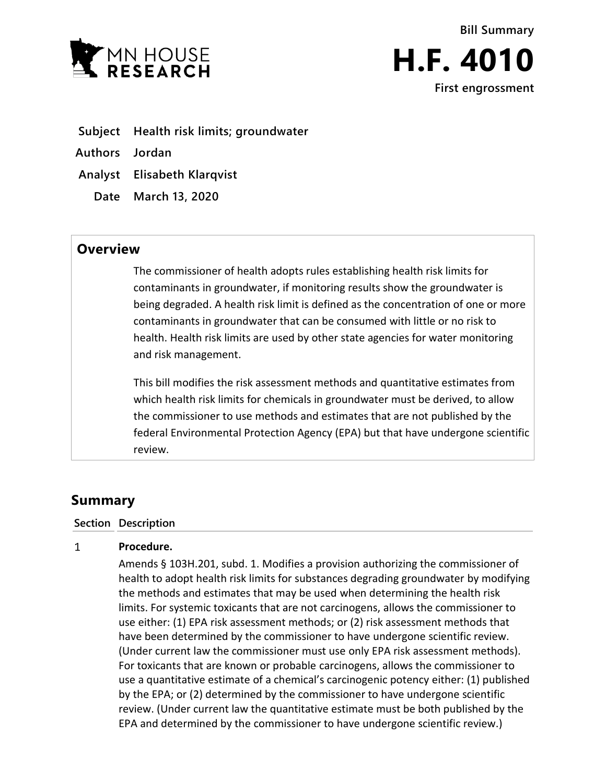



- **Subject Health risk limits; groundwater**
- **Authors Jordan**
- **Analyst Elisabeth Klarqvist**
	- **Date March 13, 2020**

## **Overview**

The commissioner of health adopts rules establishing health risk limits for contaminants in groundwater, if monitoring results show the groundwater is being degraded. A health risk limit is defined as the concentration of one or more contaminants in groundwater that can be consumed with little or no risk to health. Health risk limits are used by other state agencies for water monitoring and risk management.

This bill modifies the risk assessment methods and quantitative estimates from which health risk limits for chemicals in groundwater must be derived, to allow the commissioner to use methods and estimates that are not published by the federal Environmental Protection Agency (EPA) but that have undergone scientific review.

## **Summary**

## **Section Description**

## $\mathbf{1}$ **Procedure.**

Amends § 103H.201, subd. 1. Modifies a provision authorizing the commissioner of health to adopt health risk limits for substances degrading groundwater by modifying the methods and estimates that may be used when determining the health risk limits. For systemic toxicants that are not carcinogens, allows the commissioner to use either: (1) EPA risk assessment methods; or (2) risk assessment methods that have been determined by the commissioner to have undergone scientific review. (Under current law the commissioner must use only EPA risk assessment methods). For toxicants that are known or probable carcinogens, allows the commissioner to use a quantitative estimate of a chemical's carcinogenic potency either: (1) published by the EPA; or (2) determined by the commissioner to have undergone scientific review. (Under current law the quantitative estimate must be both published by the EPA and determined by the commissioner to have undergone scientific review.)